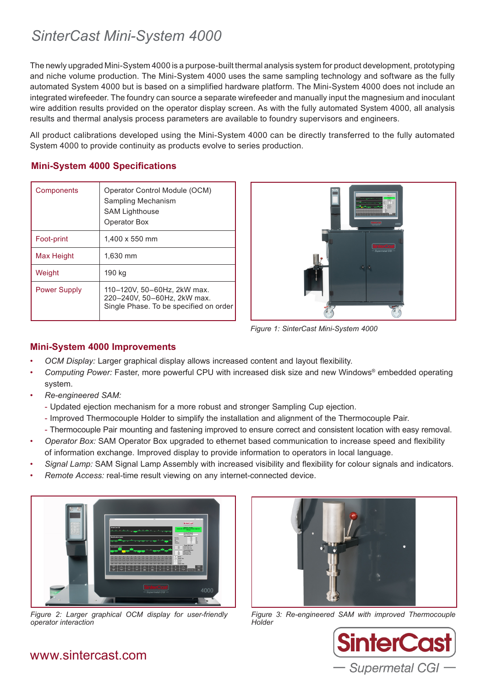# *SinterCast Mini-System 4000*

The newly upgraded Mini-System 4000 is a purpose-built thermal analysis system for product development, prototyping and niche volume production. The Mini-System 4000 uses the same sampling technology and software as the fully automated System 4000 but is based on a simplified hardware platform. The Mini-System 4000 does not include an integrated wirefeeder. The foundry can source a separate wirefeeder and manually input the magnesium and inoculant wire addition results provided on the operator display screen. As with the fully automated System 4000, all analysis results and thermal analysis process parameters are available to foundry supervisors and engineers.

All product calibrations developed using the Mini-System 4000 can be directly transferred to the fully automated System 4000 to provide continuity as products evolve to series production.

### **Mini-System 4000 Specifications**

| Components          | Operator Control Module (OCM)<br>Sampling Mechanism<br><b>SAM Lighthouse</b><br>Operator Box         |
|---------------------|------------------------------------------------------------------------------------------------------|
| Foot-print          | $1,400 \times 550$ mm                                                                                |
| Max Height          | 1,630 mm                                                                                             |
| Weight              | 190 kg                                                                                               |
| <b>Power Supply</b> | 110-120V, 50-60Hz, 2kW max.<br>220-240V, 50-60Hz, 2kW max.<br>Single Phase. To be specified on order |



*Figure 1: SinterCast Mini-System 4000*

### **Mini-System 4000 Improvements**

- *OCM Display:* Larger graphical display allows increased content and layout flexibility.
- *Computing Power:* Faster, more powerful CPU with increased disk size and new Windows® embedded operating system.
- *Re-engineered SAM:*
	- Updated ejection mechanism for a more robust and stronger Sampling Cup ejection.
	- Improved Thermocouple Holder to simplify the installation and alignment of the Thermocouple Pair.
	- Thermocouple Pair mounting and fastening improved to ensure correct and consistent location with easy removal.
- *Operator Box:* SAM Operator Box upgraded to ethernet based communication to increase speed and flexibility of information exchange. Improved display to provide information to operators in local language.
- *Signal Lamp:* SAM Signal Lamp Assembly with increased visibility and flexibility for colour signals and indicators.
- *Remote Access:* real-time result viewing on any internet-connected device.



*Figure 2: Larger graphical OCM display for user-friendly operator interaction*



*Figure 3: Re-engineered SAM with improved Thermocouple Holder*



## www.sintercast.com